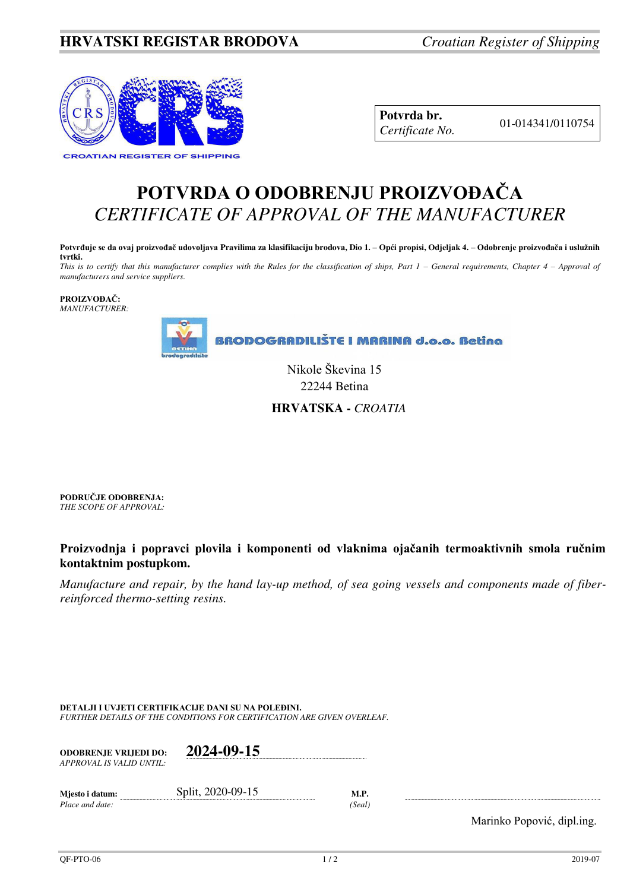## **HRVATSKI REGISTAR BRODOVA** *Croatian Register of Shipping*



**Potvrda br.** 01-014341/0110754 *Certificate No.* 

## **POTVRDA O ODOBRENJU PROIZVOĐAČA** *CERTIFICATE OF APPROVAL OF THE MANUFACTURER*

**Potvrđuje se da ovaj proizvođač udovoljava Pravilima za klasifikaciju brodova, Dio 1. – Opći propisi, Odjeljak 4. – Odobrenje proizvođača i uslužnih tvrtki.** 

*This is to certify that this manufacturer complies with the Rules for the classification of ships, Part 1 – General requirements, Chapter 4 – Approval of manufacturers and service suppliers.* 

**PROIZVOĐAČ:** *MANUFACTURER:*



Nikole Škevina 15 22244 Betina

 **HRVATSKA -** *CROATIA* 

**PODRUČJE ODOBRENJA:** *THE SCOPE OF APPROVAL:* 

**Proizvodnja i popravci plovila i komponenti od vlaknima ojačanih termoaktivnih smola ručnim kontaktnim postupkom.** 

*Manufacture and repair, by the hand lay-up method, of sea going vessels and components made of fiberreinforced thermo-setting resins.* 

**DETALJI I UVJETI CERTIFIKACIJE DANI SU NA POLEĐINI.** *FURTHER DETAILS OF THE CONDITIONS FOR CERTIFICATION ARE GIVEN OVERLEAF.* 

| <b>ODOBRENJE VRLIEDI DO:</b><br>APPROVAL IS VALID UNTIL: | 2024-09-15        |                       |
|----------------------------------------------------------|-------------------|-----------------------|
| Mjesto i datum:<br>Place and date:                       | Split, 2020-09-15 | <b>M.P.</b><br>(Seal) |

Marinko Popović, dipl.ing.